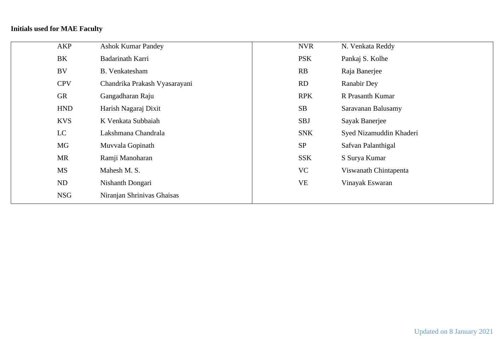# **Initials used for MAE Faculty**

| AKP        | <b>Ashok Kumar Pandey</b>     | <b>NVR</b> | N. Venkata Reddy        |
|------------|-------------------------------|------------|-------------------------|
| BK         | Badarinath Karri              | <b>PSK</b> | Pankaj S. Kolhe         |
| <b>BV</b>  | <b>B.</b> Venkatesham         | RB         | Raja Banerjee           |
| <b>CPV</b> | Chandrika Prakash Vyasarayani | <b>RD</b>  | <b>Ranabir Dey</b>      |
| <b>GR</b>  | Gangadharan Raju              | <b>RPK</b> | R Prasanth Kumar        |
| <b>HND</b> | Harish Nagaraj Dixit          | SB         | Saravanan Balusamy      |
| <b>KVS</b> | K Venkata Subbaiah            | <b>SBJ</b> | Sayak Banerjee          |
| LC         | Lakshmana Chandrala           | <b>SNK</b> | Syed Nizamuddin Khaderi |
| <b>MG</b>  | Muvvala Gopinath              | <b>SP</b>  | Safvan Palanthigal      |
| <b>MR</b>  | Ramji Manoharan               | <b>SSK</b> | S Surya Kumar           |
| MS         | Mahesh M. S.                  | VC         | Viswanath Chintapenta   |
| ND         | Nishanth Dongari              | <b>VE</b>  | Vinayak Eswaran         |
| <b>NSG</b> | Niranjan Shrinivas Ghaisas    |            |                         |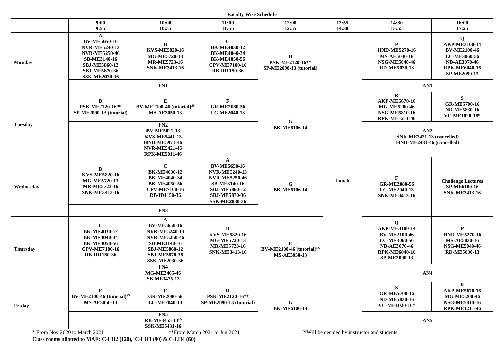|                 | <b>Faculty Wise Schedule</b>                                                                                                                                     |                                                                                                                                                                         |                                                                                                                                                                             |                                                                            |                |                                                                                                                                 |                                                                                                                          |  |  |  |
|-----------------|------------------------------------------------------------------------------------------------------------------------------------------------------------------|-------------------------------------------------------------------------------------------------------------------------------------------------------------------------|-----------------------------------------------------------------------------------------------------------------------------------------------------------------------------|----------------------------------------------------------------------------|----------------|---------------------------------------------------------------------------------------------------------------------------------|--------------------------------------------------------------------------------------------------------------------------|--|--|--|
|                 | 9:00<br>9:55                                                                                                                                                     | 10:00<br>10:55                                                                                                                                                          | 11:00<br>11:55                                                                                                                                                              | 12:00<br>12:55                                                             | 12:55<br>14:30 | 14:30<br>15:55                                                                                                                  | 16:00<br>17:25                                                                                                           |  |  |  |
| <b>Monday</b>   | A<br><b>BV-ME5650-16</b><br><b>NVR-ME5240-13</b><br><b>NVR-ME5250-46</b><br><b>SB-ME3140-16</b><br><b>SBJ-ME5860-12</b><br>SBJ-ME5870-36<br><b>SSK-ME2030-36</b> | B<br>KVS-ME5820-16<br>MG-ME5720-13<br>MR-ME5723-16<br><b>SNK-ME3413-16</b>                                                                                              | $\mathbf C$<br><b>BK-ME4030-12</b><br><b>BK-ME4040-34</b><br><b>BK-ME4050-56</b><br><b>CPV-ME7100-16</b><br>RB-ID1150-36                                                    | D<br>PSK-ME2120-16**<br><b>SP-ME2090-13 (tutorial)</b>                     |                | P<br><b>HND-ME5270-16</b><br><b>MS-AE5030-16</b><br><b>NSG-ME5040-46</b><br><b>RD-ME5030-13</b>                                 | Q<br>AKP-ME3100-14<br><b>BV-ME2100-46</b><br>LC-ME3060-56<br><b>ND-AE3070-46</b><br><b>RPK-ME6040-16</b><br>SP-ME2090-13 |  |  |  |
|                 |                                                                                                                                                                  | FN1                                                                                                                                                                     |                                                                                                                                                                             |                                                                            |                |                                                                                                                                 | AN1                                                                                                                      |  |  |  |
| <b>Tuesday</b>  | D<br>PSK-ME2120-16**<br><b>SP-ME2090-13 (tutorial)</b>                                                                                                           | E<br>BV-ME2100-46 (tutorial) <sup>\$\$</sup><br><b>MS-AE3050-13</b>                                                                                                     | $\mathbf{F}$<br><b>GR-ME2080-56</b><br>LC-ME2040-13                                                                                                                         | G                                                                          |                | $\bf{R}$<br>AKP-ME5670-16<br>MG-ME5200-46<br><b>NSG-ME5810-16</b><br><b>RPK-ME1211-46</b>                                       | S<br><b>GR-ME5700-16</b><br><b>ND-ME5830-16</b><br>VC-ME1020-16*                                                         |  |  |  |
|                 |                                                                                                                                                                  | FN2<br><b>BV-ME5021-13</b><br><b>KVS-ME5441-13</b><br><b>HND-ME5971-46</b><br><b>NVR-ME5421-46</b><br><b>RPK-ME5011-46</b>                                              |                                                                                                                                                                             | <b>BK-ME6106-14</b>                                                        |                | AN2<br>SNK-ME2421-13 (cancelled)<br>HND-ME2431-46 (cancelled)                                                                   |                                                                                                                          |  |  |  |
| Wednesday       | B<br><b>KVS-ME5820-16</b><br>MG-ME5720-13<br><b>MR-ME5723-16</b><br><b>SNK-ME3413-16</b>                                                                         | $\mathbf C$<br><b>BK-ME4030-12</b><br><b>BK-ME4040-34</b><br><b>BK-ME4050-56</b><br><b>CPV-ME7100-16</b><br><b>RB-ID1150-36</b>                                         | $\mathbf{A}$<br><b>BV-ME5650-16</b><br><b>NVR-ME5240-13</b><br><b>NVR-ME5250-46</b><br>SB-ME3140-16<br><b>SBJ-ME5860-12</b><br><b>SBJ-ME5870-36</b><br><b>SSK-ME2030-36</b> | G<br><b>BK-ME6106-14</b>                                                   | Lunch          | <b>GR-ME2080-56</b><br>LC-ME2040-13<br><b>SNK-ME3413-16</b>                                                                     | <b>Challenge Lectures</b><br>SP-ME6100-16<br><b>SNK-ME3413-16</b>                                                        |  |  |  |
|                 |                                                                                                                                                                  | FN3                                                                                                                                                                     |                                                                                                                                                                             |                                                                            |                |                                                                                                                                 |                                                                                                                          |  |  |  |
| <b>Thursday</b> | $\mathbf C$<br><b>BK-ME4030-12</b><br><b>BK-ME4040-34</b><br><b>BK-ME4050-56</b><br><b>CPV-ME7100-16</b><br><b>RB-ID1150-36</b>                                  | A<br><b>BV-ME5650-16</b><br><b>NVR-ME5240-13</b><br><b>NVR-ME5250-46</b><br><b>SB-ME3140-16</b><br><b>SBJ-ME5860-12</b><br><b>SBJ-ME5870-36</b><br><b>SSK-ME2030-36</b> | B<br>KVS-ME5820-16<br>MG-ME5720-13<br><b>MR-ME5723-16</b><br><b>SNK-ME3413-16</b>                                                                                           | Е<br><b>BV-ME2100-46 (tutorial)</b> <sup>\$\$</sup><br><b>MS-AE3050-13</b> |                | Q<br><b>AKP-ME3100-14</b><br><b>BV-ME2100-46</b><br>LC-ME3060-56<br><b>ND-AE3070-46</b><br><b>RPK-ME6040-16</b><br>SP-ME2090-13 | ${\bf P}$<br><b>HND-ME5270-16</b><br><b>MS-AE5030-16</b><br><b>NSG-ME5040-46</b><br><b>RD-ME5030-13</b>                  |  |  |  |
|                 |                                                                                                                                                                  | FN4<br>MG-ME3465-46<br>SB-ME3475-13                                                                                                                                     |                                                                                                                                                                             |                                                                            |                | AN4                                                                                                                             |                                                                                                                          |  |  |  |
| Friday          | E<br>BV-ME2100-46 (tutorial) <sup>\$\$</sup><br><b>MS-AE3050-13</b>                                                                                              | $\mathbf{F}$<br><b>GR-ME2080-56</b><br>LC-ME2040-13                                                                                                                     | D<br>PSK-ME2120-16**<br>SP-ME2090-13 (tutorial)                                                                                                                             | ${\bf G}$<br><b>BK-ME6106-14</b>                                           |                | S<br><b>GR-ME5700-16</b><br><b>ND-ME5830-16</b><br>VC-ME1020-16*                                                                | $\mathbf R$<br>AKP-ME5670-16<br>MG-ME5200-46<br><b>NSG-ME5810-16</b><br><b>RPK-ME1211-46</b>                             |  |  |  |
|                 |                                                                                                                                                                  | FN5<br>RB-ME3455-13 <sup>\$\$</sup><br><b>SSK-ME5431-16</b>                                                                                                             |                                                                                                                                                                             |                                                                            |                | AN5                                                                                                                             |                                                                                                                          |  |  |  |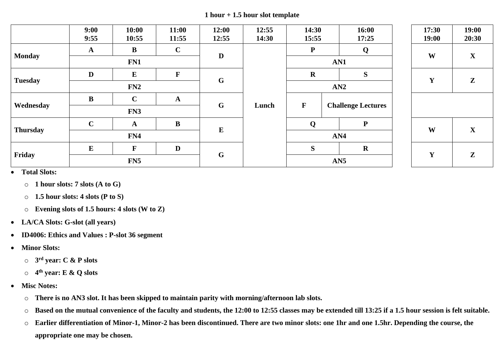**1 hour + 1.5 hour slot template**

|                 | 9:00<br>9:55 | 10:00<br>10:55 | 11:00<br>11:55 | 12:00<br>12:55 | 12:55<br>14:30 | 14:30<br>15:55                         |     | 16:00<br>17:25 | 17:30<br>19:00 | 19:00<br>20:30 |
|-----------------|--------------|----------------|----------------|----------------|----------------|----------------------------------------|-----|----------------|----------------|----------------|
|                 | $\mathbf A$  | $\bf{B}$       | $\mathbf C$    | D              |                | ${\bf P}$                              | Q   |                | W              | $\mathbf X$    |
| <b>Monday</b>   |              | FN1            |                |                |                |                                        | AN1 |                |                |                |
|                 | D            | ${\bf E}$      | $\mathbf{F}$   | $\mathbf{G}$   |                | $\mathbf R$                            |     | ${\bf S}$      | Y              | $\mathbf{Z}$   |
| <b>Tuesday</b>  |              | FN2            |                |                |                |                                        | AN2 |                |                |                |
|                 | $\bf{B}$     | $\mathbf C$    | $\mathbf{A}$   |                | Lunch          |                                        |     |                |                |                |
| Wednesday       |              | FN3            |                |                | $\mathbf{G}$   | ${\bf F}$<br><b>Challenge Lectures</b> |     |                |                |                |
|                 | $\mathbf C$  | $\mathbf A$    | $\bf{B}$       | $\bf{E}$       |                | Q                                      |     | ${\bf P}$      | W              |                |
| <b>Thursday</b> |              | FN4            |                |                |                | AN4                                    |     |                |                | $\mathbf{X}$   |
| Friday          | $\bf{E}$     | $\mathbf{F}$   | D              |                |                | S                                      |     | $\mathbf R$    |                |                |
|                 |              | FN5            |                |                | G              | AN5                                    |     |                | Y              | $\mathbf{Z}$   |

• **Total Slots:** 

- o **1 hour slots: 7 slots (A to G)**
- o **1.5 hour slots: 4 slots (P to S)**
- o **Evening slots of 1.5 hours: 4 slots (W to Z)**
- **LA/CA Slots: G-slot (all years)**
- **ID4006: Ethics and Values : P-slot 36 segment**
- **Minor Slots:**
	- o **3 rd year: C & P slots**
	- o **4 th year: E & Q slots**
- **Misc Notes:**
	- o **There is no AN3 slot. It has been skipped to maintain parity with morning/afternoon lab slots.**
	- o **Based on the mutual convenience of the faculty and students, the 12:00 to 12:55 classes may be extended till 13:25 if a 1.5 hour session is felt suitable.**
	- o **Earlier differentiation of Minor-1, Minor-2 has been discontinued. There are two minor slots: one 1hr and one 1.5hr. Depending the course, the appropriate one may be chosen.**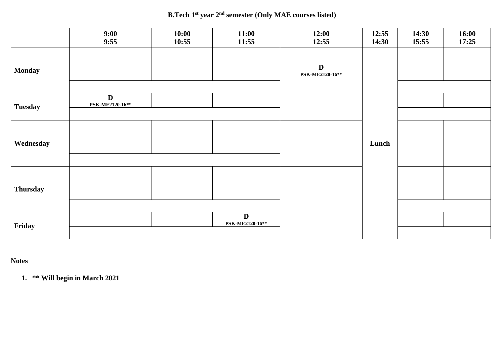### **B.Tech 1st year 2 nd semester (Only MAE courses listed)**

|                 | 9:00<br>9:55                    | 10:00<br>10:55 | 11:00<br>11:55       | 12:00<br>12:55                 | 12:55<br>14:30 | 14:30<br>15:55 | 16:00<br>17:25 |
|-----------------|---------------------------------|----------------|----------------------|--------------------------------|----------------|----------------|----------------|
| <b>Monday</b>   |                                 |                |                      | $\mathbf D$<br>PSK-ME2120-16** |                |                |                |
| <b>Tuesday</b>  | $\mathbf{D}$<br>PSK-ME2120-16** |                |                      |                                |                |                |                |
| Wednesday       |                                 |                |                      |                                | Lunch          |                |                |
| <b>Thursday</b> |                                 |                |                      |                                |                |                |                |
| Friday          |                                 |                | D<br>PSK-ME2120-16** |                                |                |                |                |

# **Notes**

**1. \*\* Will begin in March 2021**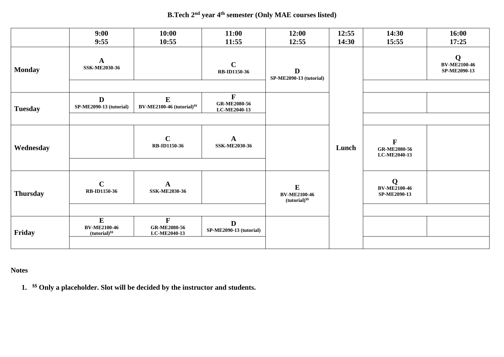### **B.Tech 2nd year 4 th semester (Only MAE courses listed)**

|                 | 9:00<br>9:55                                          | 10:00<br>10:55                                      | 11:00<br>11:55                                     | 12:00<br>12:55                                        | 12:55<br>14:30 | 14:30<br>15:55                                      | 16:00<br>17:25                                     |
|-----------------|-------------------------------------------------------|-----------------------------------------------------|----------------------------------------------------|-------------------------------------------------------|----------------|-----------------------------------------------------|----------------------------------------------------|
| <b>Monday</b>   | $\mathbf A$<br><b>SSK-ME2030-36</b>                   |                                                     | $\mathbf C$<br>RB-ID1150-36                        | D<br><b>SP-ME2090-13 (tutorial)</b>                   |                |                                                     | $\mathbf Q$<br><b>BV-ME2100-46</b><br>SP-ME2090-13 |
|                 |                                                       |                                                     |                                                    |                                                       |                |                                                     |                                                    |
| <b>Tuesday</b>  | $\mathbf{D}$<br>SP-ME2090-13 (tutorial)               | $\bf{E}$<br>BV-ME2100-46 (tutorial) <sup>\$\$</sup> | $\mathbf F$<br><b>GR-ME2080-56</b><br>LC-ME2040-13 |                                                       |                |                                                     |                                                    |
|                 |                                                       |                                                     |                                                    |                                                       |                |                                                     |                                                    |
| Wednesday       |                                                       | $\mathbf C$<br>RB-ID1150-36                         | $\mathbf{A}$<br><b>SSK-ME2030-36</b>               |                                                       | Lunch          | $\mathbf{F}$<br><b>GR-ME2080-56</b><br>LC-ME2040-13 |                                                    |
|                 |                                                       |                                                     |                                                    |                                                       |                |                                                     |                                                    |
| <b>Thursday</b> | $\mathbf C$<br>RB-ID1150-36                           | $\mathbf{A}$<br><b>SSK-ME2030-36</b>                |                                                    | ${\bf E}$<br><b>BV-ME2100-46</b><br>$(tutorial)^{ss}$ |                | Q<br><b>BV-ME2100-46</b><br>SP-ME2090-13            |                                                    |
|                 |                                                       |                                                     |                                                    |                                                       |                |                                                     |                                                    |
| Friday          | ${\bf E}$<br><b>BV-ME2100-46</b><br>$(tutorial)^{ss}$ | $\mathbf F$<br><b>GR-ME2080-56</b><br>LC-ME2040-13  | $\mathbf{D}$<br>SP-ME2090-13 (tutorial)            |                                                       |                |                                                     |                                                    |
|                 |                                                       |                                                     |                                                    |                                                       |                |                                                     |                                                    |

**Notes** 

**1. \$\$ Only a placeholder. Slot will be decided by the instructor and students.**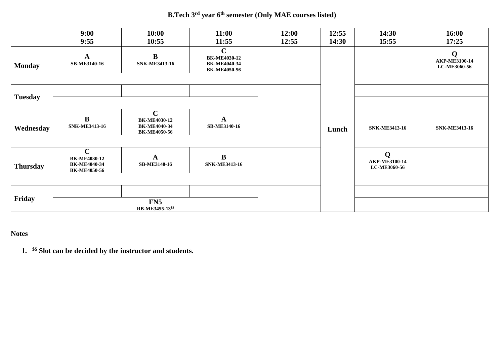### **B.Tech 3rd year 6 th semester (Only MAE courses listed)**

|                 | 9:00<br>9:55                                                                     | 10:00<br>10:55                                                                   | 11:00<br>11:55                                                                   | 12:00<br>12:55 | 12:55<br>14:30 | 14:30<br>15:55                            | 16:00<br>17:25                     |
|-----------------|----------------------------------------------------------------------------------|----------------------------------------------------------------------------------|----------------------------------------------------------------------------------|----------------|----------------|-------------------------------------------|------------------------------------|
| <b>Monday</b>   | ${\bf A}$<br><b>SB-ME3140-16</b>                                                 | $\bf{B}$<br><b>SNK-ME3413-16</b>                                                 | $\mathbf C$<br><b>BK-ME4030-12</b><br><b>BK-ME4040-34</b><br><b>BK-ME4050-56</b> |                |                |                                           | Q<br>AKP-ME3100-14<br>LC-ME3060-56 |
| <b>Tuesday</b>  |                                                                                  |                                                                                  |                                                                                  |                |                |                                           |                                    |
| Wednesday       | $\bf{B}$<br><b>SNK-ME3413-16</b>                                                 | $\mathbf C$<br><b>BK-ME4030-12</b><br><b>BK-ME4040-34</b><br><b>BK-ME4050-56</b> | A<br><b>SB-ME3140-16</b>                                                         |                | Lunch          | <b>SNK-ME3413-16</b>                      | <b>SNK-ME3413-16</b>               |
| <b>Thursday</b> | $\mathbf C$<br><b>BK-ME4030-12</b><br><b>BK-ME4040-34</b><br><b>BK-ME4050-56</b> | A<br>SB-ME3140-16                                                                | $\bf{B}$<br><b>SNK-ME3413-16</b>                                                 |                |                | Q<br>AKP-ME3100-14<br><b>LC-ME3060-56</b> |                                    |
| Friday          |                                                                                  | FN <sub>5</sub><br>RB-ME3455-13 <sup>\$\$</sup>                                  |                                                                                  |                |                |                                           |                                    |

# **Notes**

**1. \$\$ Slot can be decided by the instructor and students.**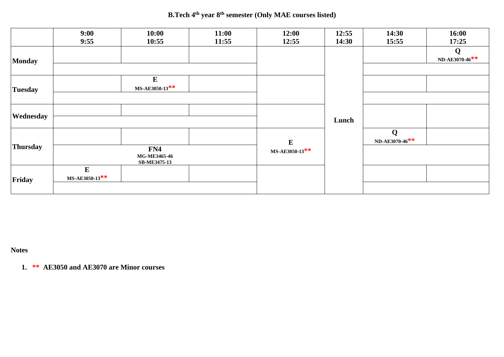**B.Tech 4th year 8 th semester (Only MAE courses listed)**

|                 | 9:00<br>9:55                               | 10:00<br>10:55             | 11:00<br>11:55 | 12:00<br>12:55              | 12:55<br>14:30 | 14:30<br>15:55      | 16:00<br>17:25      |
|-----------------|--------------------------------------------|----------------------------|----------------|-----------------------------|----------------|---------------------|---------------------|
| <b>Monday</b>   |                                            |                            |                |                             |                |                     | Q<br>ND-AE3070-46** |
| <b>Tuesday</b>  |                                            | $\bf{E}$<br>MS-AE3050-13** |                |                             |                |                     |                     |
| Wednesday       |                                            |                            |                |                             | Lunch          |                     |                     |
| <b>Thursday</b> | FN4<br>MG-ME3465-46<br><b>SB-ME3475-13</b> |                            |                | ${\bf E}$<br>MS-AE3050-13** |                | Q<br>ND-AE3070-46** |                     |
| Friday          | ${\bf E}$<br>MS-AE3050-13**                |                            |                |                             |                |                     |                     |

**Notes** 

**1. \*\* AE3050 and AE3070 are Minor courses**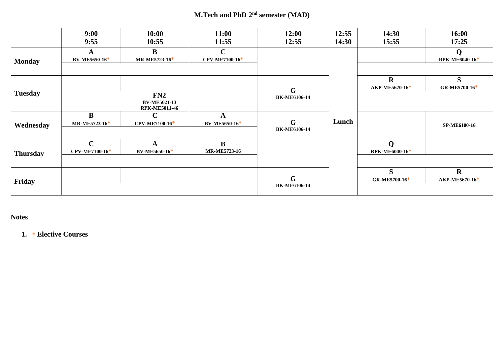**M.Tech and PhD 2<sup>nd</sup> semester (MAD)** 

|                 | 9:00<br>9:55                  | 10:00<br>10:55                                     | 11:00<br>11:55                | 12:00<br>12:55                     | 12:55<br>14:30 | 14:30<br>15:55                | 16:00<br>17:25                |
|-----------------|-------------------------------|----------------------------------------------------|-------------------------------|------------------------------------|----------------|-------------------------------|-------------------------------|
| <b>Monday</b>   | A<br>BV-ME5650-16*            | B<br>MR-ME5723-16*                                 | $\mathbf C$<br>CPV-ME7100-16* |                                    |                |                               | Q<br>RPK-ME6040-16*           |
|                 |                               |                                                    |                               |                                    |                |                               |                               |
| <b>Tuesday</b>  |                               |                                                    |                               | $\mathbf G$                        |                | $\mathbf R$<br>AKP-ME5670-16* | S<br>GR-ME5700-16*            |
|                 |                               | FN2<br><b>BV-ME5021-13</b><br><b>RPK-ME5011-46</b> |                               | <b>BK-ME6106-14</b>                |                |                               |                               |
| Wednesday       | $\bf{B}$<br>MR-ME5723-16*     | $\mathbf C$<br>CPV-ME7100-16*                      | A<br>BV-ME5650-16*            | G<br><b>BK-ME6106-14</b>           | Lunch          |                               | <b>SP-ME6100-16</b>           |
| <b>Thursday</b> | $\mathbf C$<br>CPV-ME7100-16* | A<br><b>BV-ME5650-16*</b>                          | B<br><b>MR-ME5723-16</b>      |                                    |                | $\mathbf Q$<br>RPK-ME6040-16* |                               |
| Friday          |                               |                                                    |                               | $\mathbf G$<br><b>BK-ME6106-14</b> |                | S.<br>GR-ME5700-16*           | $\mathbf R$<br>AKP-ME5670-16* |

# **Notes**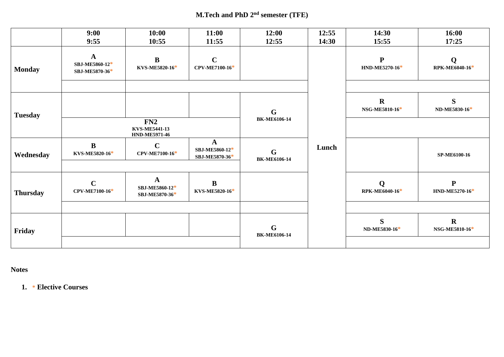# **M.Tech and PhD 2 nd semester (TFE)**

|                 | 9:00<br>9:55                                     | 10:00<br>10:55                                   | 11:00<br>11:55                   | 12:00<br>12:55                     | 12:55<br>14:30 | 14:30<br>15:55                 | 16:00<br>17:25                 |
|-----------------|--------------------------------------------------|--------------------------------------------------|----------------------------------|------------------------------------|----------------|--------------------------------|--------------------------------|
| <b>Monday</b>   | $\mathbf{A}$<br>SBJ-ME5860-12*<br>SBJ-ME5870-36* | $\bf{B}$<br>KVS-ME5820-16*                       | $\mathbf C$<br>CPV-ME7100-16*    |                                    |                | $\mathbf{P}$<br>HND-ME5270-16* | Q<br>RPK-ME6040-16*            |
| <b>Tuesday</b>  |                                                  | FN2                                              |                                  | $\mathbf G$<br><b>BK-ME6106-14</b> |                | $\mathbf R$<br>NSG-ME5810-16*  | S<br>ND-ME5830-16*             |
|                 | $\bf{B}$                                         | <b>KVS-ME5441-13</b><br><b>HND-ME5971-46</b>     | $\mathbf{A}$                     |                                    |                |                                |                                |
| Wednesday       | KVS-ME5820-16*                                   | $\mathbf C$<br>CPV-ME7100-16*                    | SBJ-ME5860-12*<br>SBJ-ME5870-36* | $\mathbf G$<br><b>BK-ME6106-14</b> | Lunch          |                                | SP-ME6100-16                   |
| <b>Thursday</b> | $\mathbf C$<br>CPV-ME7100-16*                    | $\mathbf{A}$<br>SBJ-ME5860-12*<br>SBJ-ME5870-36* | $\bf{B}$<br>KVS-ME5820-16*       |                                    |                | Q<br>RPK-ME6040-16*            | $\mathbf{P}$<br>HND-ME5270-16* |
|                 |                                                  |                                                  |                                  |                                    |                |                                |                                |
| Friday          |                                                  |                                                  |                                  | $\mathbf G$<br><b>BK-ME6106-14</b> |                | S<br>ND-ME5830-16*             | $\mathbf R$<br>NSG-ME5810-16*  |
|                 |                                                  |                                                  |                                  |                                    |                |                                |                                |

**Notes**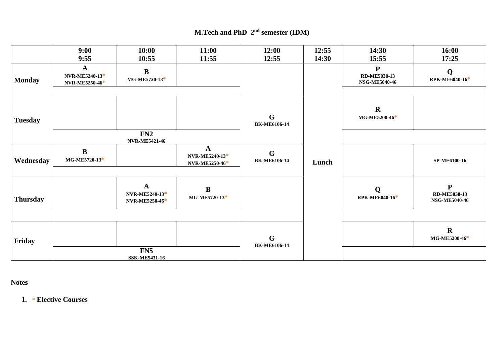# **M.Tech and PhD 2<sup>nd</sup> semester (IDM)**

|                 | 9:00<br>9:55                          | 10:00<br>10:55                                          | 11:00<br>11:55                                   | 12:00<br>12:55                     | 12:55<br>14:30 | 14:30<br>15:55                                    | 16:00<br>17:25                                    |
|-----------------|---------------------------------------|---------------------------------------------------------|--------------------------------------------------|------------------------------------|----------------|---------------------------------------------------|---------------------------------------------------|
| <b>Monday</b>   | A<br>NVR-ME5240-13*<br>NVR-ME5250-46* | $\bf{B}$<br>MG-ME5720-13*                               |                                                  |                                    |                | ${\bf P}$<br>RD-ME5030-13<br><b>NSG-ME5040-46</b> | Q<br>RPK-ME6040-16*                               |
|                 |                                       |                                                         |                                                  |                                    |                |                                                   |                                                   |
| <b>Tuesday</b>  |                                       |                                                         |                                                  | G<br><b>BK-ME6106-14</b>           |                | $\mathbf R$<br>MG-ME5200-46*                      |                                                   |
|                 |                                       | FN2<br><b>NVR-ME5421-46</b>                             |                                                  |                                    |                |                                                   |                                                   |
| Wednesday       | $\bf{B}$<br>MG-ME5720-13*             |                                                         | $\mathbf{A}$<br>NVR-ME5240-13*<br>NVR-ME5250-46* | $\mathbf G$<br><b>BK-ME6106-14</b> | Lunch          |                                                   | SP-ME6100-16                                      |
|                 |                                       |                                                         |                                                  |                                    |                |                                                   |                                                   |
| <b>Thursday</b> |                                       | $\mathbf{A}$<br>NVR-ME5240-13*<br><b>NVR-ME5250-46*</b> | $\bf{B}$<br>MG-ME5720-13*                        |                                    |                | $\mathbf Q$<br>RPK-ME6040-16*                     | ${\bf P}$<br>RD-ME5030-13<br><b>NSG-ME5040-46</b> |
|                 |                                       |                                                         |                                                  |                                    |                |                                                   |                                                   |
| Friday          |                                       |                                                         |                                                  | $\mathbf G$<br><b>BK-ME6106-14</b> |                |                                                   | $\mathbf R$<br>MG-ME5200-46*                      |
|                 |                                       | FN5<br><b>SSK-ME5431-16</b>                             |                                                  |                                    |                |                                                   |                                                   |

**Notes**